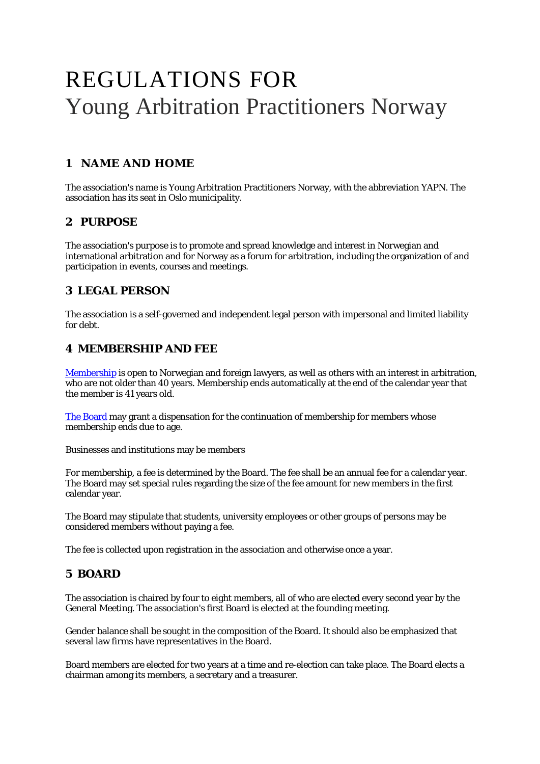# REGULATIONS FOR Young Arbitration Practitioners Norway

## **1 NAME AND HOME**

The association's name is Young Arbitration Practitioners Norway, with the abbreviation YAPN. The association has its seat in Oslo municipality.

## **2 PURPOSE**

The association's purpose is to promote and spread knowledge and interest in Norwegian and international arbitration and for Norway as a forum for arbitration, including the organization of and participation in events, courses and meetings.

#### **3 LEGAL PERSON**

The association is a self-governed and independent legal person with impersonal and limited liability for debt.

## **4 MEMBERSHIP AND FEE**

[Membership](https://www.yapn.no/membership) is open to Norwegian and foreign lawyers, as well as others with an interest in arbitration, who are not older than 40 years. Membership ends automatically at the end of the calendar year that the member is 41 years old.

[The Board](https://www.yapn.no/board) may grant a dispensation for the continuation of membership for members whose membership ends due to age.

Businesses and institutions may be members

For membership, a fee is determined by the Board. The fee shall be an annual fee for a calendar year. The Board may set special rules regarding the size of the fee amount for new members in the first calendar year.

The Board may stipulate that students, university employees or other groups of persons may be considered members without paying a fee.

The fee is collected upon registration in the association and otherwise once a year.

# **5 BOARD**

The association is chaired by four to eight members, all of who are elected every second year by the General Meeting. The association's first Board is elected at the founding meeting.

Gender balance shall be sought in the composition of the Board. It should also be emphasized that several law firms have representatives in the Board.

Board members are elected for two years at a time and re-election can take place. The Board elects a chairman among its members, a secretary and a treasurer.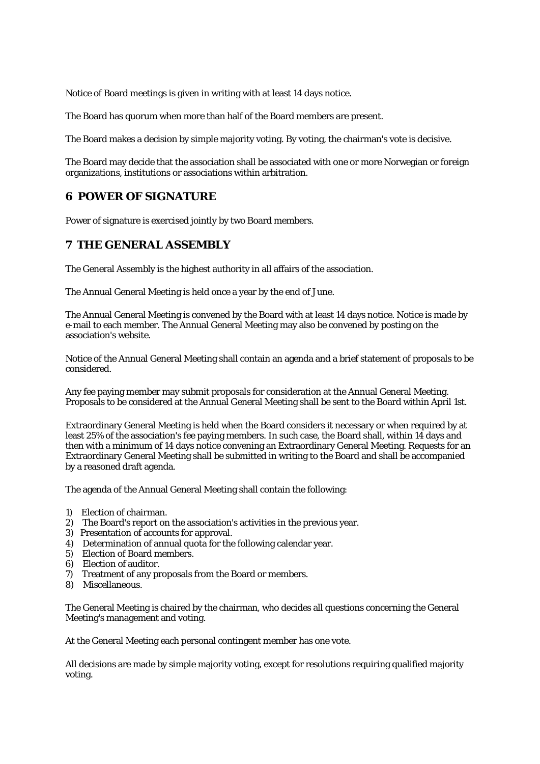Notice of Board meetings is given in writing with at least 14 days notice.

The Board has quorum when more than half of the Board members are present.

The Board makes a decision by simple majority voting. By voting, the chairman's vote is decisive.

The Board may decide that the association shall be associated with one or more Norwegian or foreign organizations, institutions or associations within arbitration.

## **6 POWER OF SIGNATURE**

Power of signature is exercised jointly by two Board members.

#### **7 THE GENERAL ASSEMBLY**

The General Assembly is the highest authority in all affairs of the association.

The Annual General Meeting is held once a year by the end of June.

The Annual General Meeting is convened by the Board with at least 14 days notice. Notice is made by e-mail to each member. The Annual General Meeting may also be convened by posting on the association's website.

Notice of the Annual General Meeting shall contain an agenda and a brief statement of proposals to be considered.

Any fee paying member may submit proposals for consideration at the Annual General Meeting. Proposals to be considered at the Annual General Meeting shall be sent to the Board within April 1st.

Extraordinary General Meeting is held when the Board considers it necessary or when required by at least 25% of the association's fee paying members. In such case, the Board shall, within 14 days and then with a minimum of 14 days notice convening an Extraordinary General Meeting. Requests for an Extraordinary General Meeting shall be submitted in writing to the Board and shall be accompanied by a reasoned draft agenda.

The agenda of the Annual General Meeting shall contain the following:

- 1) Election of chairman.
- 2) The Board's report on the association's activities in the previous year.
- 3) Presentation of accounts for approval.
- 4) Determination of annual quota for the following calendar year.
- 5) Election of Board members.
- 6) Election of auditor.
- 7) Treatment of any proposals from the Board or members.
- 8) Miscellaneous.

The General Meeting is chaired by the chairman, who decides all questions concerning the General Meeting's management and voting.

At the General Meeting each personal contingent member has one vote.

All decisions are made by simple majority voting, except for resolutions requiring qualified majority voting.